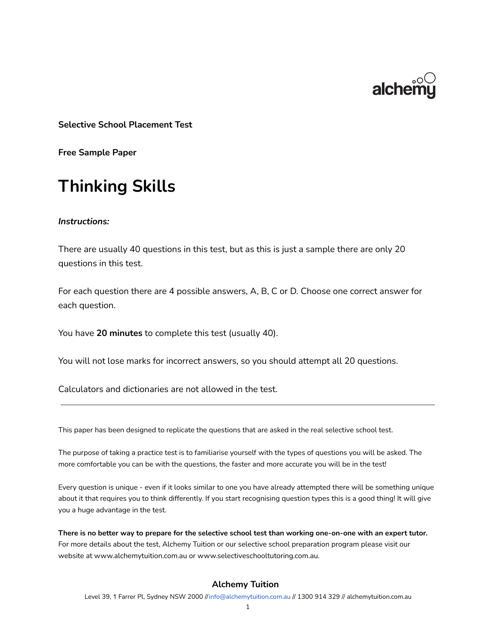

**Selective School Placement Test**

**Free Sample Paper**

# **Thinking Skills**

#### *Instructions:*

There are usually 40 questions in this test, but as this is just a sample there are only 20 questions in this test.

For each question there are 4 possible answers, A, B, C or D. Choose one correct answer for each question.

You have **20 minutes** to complete this test (usually 40).

You will not lose marks for incorrect answers, so you should attempt all 20 questions.

Calculators and dictionaries are not allowed in the test.

This paper has been designed to replicate the questions that are asked in the real selective school test.

The purpose of taking a practice test is to familiarise yourself with the types of questions you will be asked. The more comfortable you can be with the questions, the faster and more accurate you will be in the test!

Every question is unique - even if it looks similar to one you have already attempted there will be something unique about it that requires you to think differently. If you start recognising question types this is a good thing! It will give you a huge advantage in the test.

There is no better way to prepare for the selective school test than working one-on-one with an expert tutor. For more details about the test, Alchemy Tuition or our selective school preparation program please visit our website at www.alchemytuition.com.au or www.selectiveschooltutoring.com.au.

#### **Alchemy Tuition**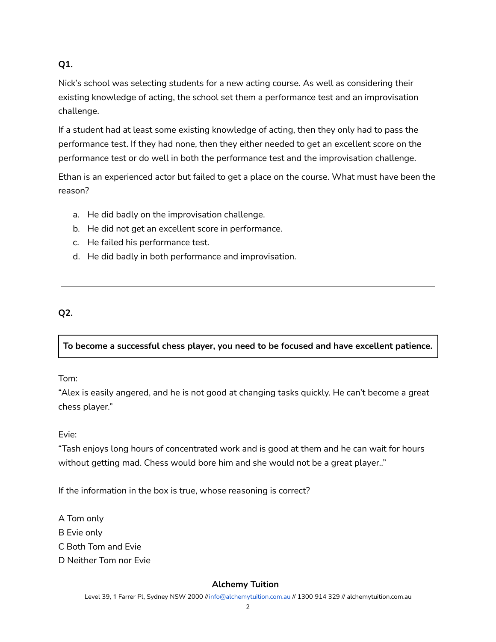## **Q1.**

Nick's school was selecting students for a new acting course. As well as considering their existing knowledge of acting, the school set them a performance test and an improvisation challenge.

If a student had at least some existing knowledge of acting, then they only had to pass the performance test. If they had none, then they either needed to get an excellent score on the performance test or do well in both the performance test and the improvisation challenge.

Ethan is an experienced actor but failed to get a place on the course. What must have been the reason?

- a. He did badly on the improvisation challenge.
- b. He did not get an excellent score in performance.
- c. He failed his performance test.
- d. He did badly in both performance and improvisation.

# **Q2.**

## **To become a successful chess player, you need to be focused and have excellent patience.**

## Tom:

"Alex is easily angered, and he is not good at changing tasks quickly. He can't become a great chess player."

## Evie:

"Tash enjoys long hours of concentrated work and is good at them and he can wait for hours without getting mad. Chess would bore him and she would not be a great player.."

If the information in the box is true, whose reasoning is correct?

A Tom only

B Evie only

C Both Tom and Evie

D Neither Tom nor Evie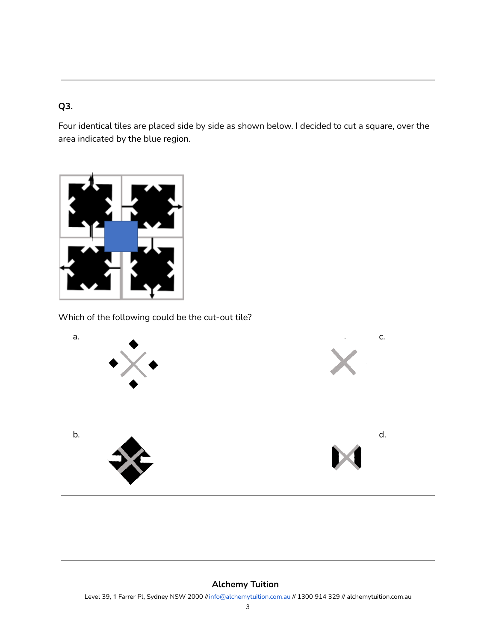# **Q3.**

Four identical tiles are placed side by side as shown below. I decided to cut a square, over the area indicated by the blue region.



Which of the following could be the cut-out tile?

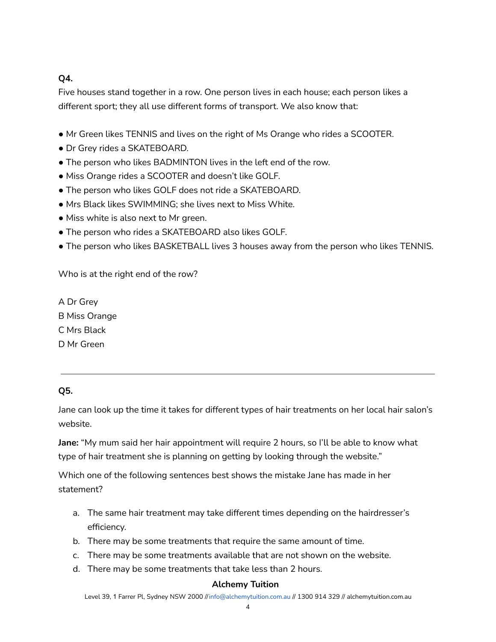# **Q4.**

Five houses stand together in a row. One person lives in each house; each person likes a different sport; they all use different forms of transport. We also know that:

- Mr Green likes TENNIS and lives on the right of Ms Orange who rides a SCOOTER.
- Dr Grey rides a SKATEBOARD.
- The person who likes BADMINTON lives in the left end of the row.
- Miss Orange rides a SCOOTER and doesn't like GOLF.
- The person who likes GOLF does not ride a SKATEBOARD.
- Mrs Black likes SWIMMING; she lives next to Miss White.
- Miss white is also next to Mr green.
- The person who rides a SKATEBOARD also likes GOLF.
- The person who likes BASKETBALL lives 3 houses away from the person who likes TENNIS.

Who is at the right end of the row?

A Dr Grey B Miss Orange C Mrs Black D Mr Green

## **Q5.**

Jane can look up the time it takes for different types of hair treatments on her local hair salon's website.

**Jane:** "My mum said her hair appointment will require 2 hours, so I'll be able to know what type of hair treatment she is planning on getting by looking through the website."

Which one of the following sentences best shows the mistake Jane has made in her statement?

- a. The same hair treatment may take different times depending on the hairdresser's efficiency.
- b. There may be some treatments that require the same amount of time.
- c. There may be some treatments available that are not shown on the website.
- d. There may be some treatments that take less than 2 hours.

## **Alchemy Tuition**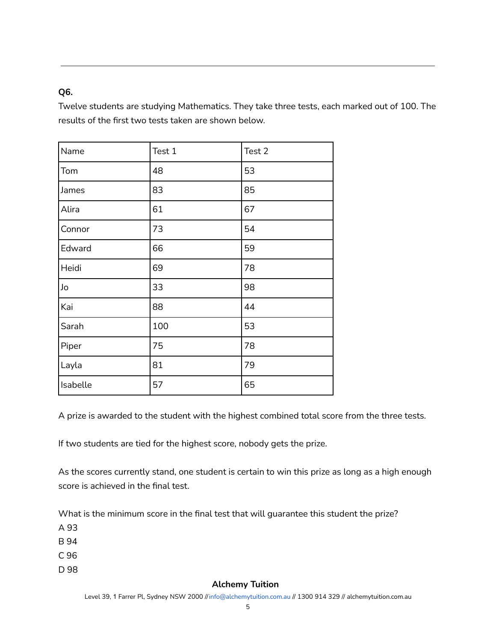## **Q6.**

Twelve students are studying Mathematics. They take three tests, each marked out of 100. The results of the first two tests taken are shown below.

| Name     | Test 1 | Test 2 |  |
|----------|--------|--------|--|
| Tom      | 48     | 53     |  |
| James    | 83     | 85     |  |
| Alira    | 61     | 67     |  |
| Connor   | 73     | 54     |  |
| Edward   | 66     | 59     |  |
| Heidi    | 69     | 78     |  |
| Jo       | 33     | 98     |  |
| Kai      | 88     | 44     |  |
| Sarah    | 100    | 53     |  |
| Piper    | 75     | 78     |  |
| Layla    | 81     | 79     |  |
| Isabelle | 57     | 65     |  |

A prize is awarded to the student with the highest combined total score from the three tests.

If two students are tied for the highest score, nobody gets the prize.

As the scores currently stand, one student is certain to win this prize as long as a high enough score is achieved in the final test.

What is the minimum score in the final test that will guarantee this student the prize?

A 93

B 94

C 96

D 98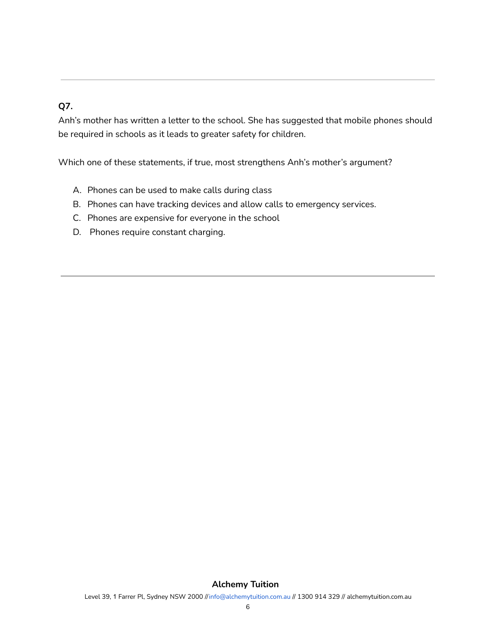# **Q7.**

Anh's mother has written a letter to the school. She has suggested that mobile phones should be required in schools as it leads to greater safety for children.

Which one of these statements, if true, most strengthens Anh's mother's argument?

- A. Phones can be used to make calls during class
- B. Phones can have tracking devices and allow calls to emergency services.
- C. Phones are expensive for everyone in the school
- D. Phones require constant charging.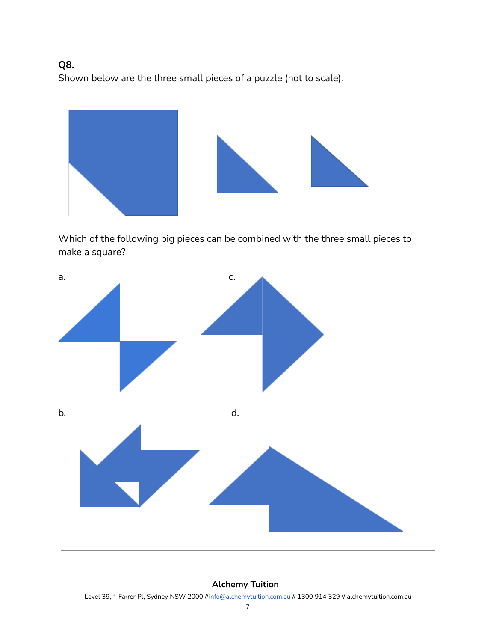# **Q8.**

Shown below are the three small pieces of a puzzle (not to scale).





Which of the following big pieces can be combined with the three small pieces to make a square?



#### **Alchemy Tuition**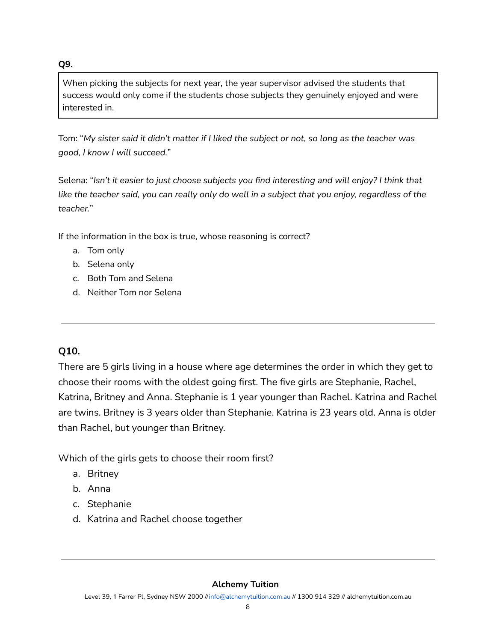When picking the subjects for next year, the year supervisor advised the students that success would only come if the students chose subjects they genuinely enjoyed and were interested in.

Tom: "My sister said it didn't matter if I liked the subject or not, so long as the teacher was *good, I know I will succeed.*"

Selena: "*Isn't it easier to just choose subjects you find interesting and will enjoy? I think that* like the teacher said, you can really only do well in a subject that you enjoy, regardless of the *teacher.*"

If the information in the box is true, whose reasoning is correct?

- a. Tom only
- b. Selena only
- c. Both Tom and Selena
- d. Neither Tom nor Selena

# **Q10.**

**Q9.**

There are 5 girls living in a house where age determines the order in which they get to choose their rooms with the oldest going first. The five girls are Stephanie, Rachel, Katrina, Britney and Anna. Stephanie is 1 year younger than Rachel. Katrina and Rachel are twins. Britney is 3 years older than Stephanie. Katrina is 23 years old. Anna is older than Rachel, but younger than Britney.

Which of the girls gets to choose their room first?

- a. Britney
- b. Anna
- c. Stephanie
- d. Katrina and Rachel choose together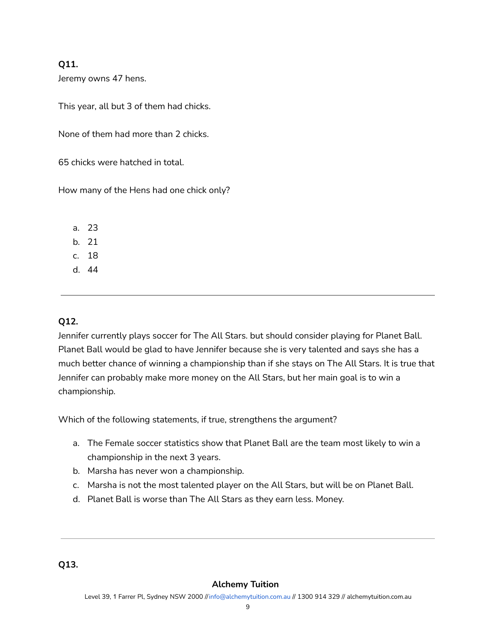#### **Q11.**

Jeremy owns 47 hens.

This year, all but 3 of them had chicks.

None of them had more than 2 chicks.

65 chicks were hatched in total.

How many of the Hens had one chick only?

a. 23

b. 21

c. 18

d. 44

## **Q12.**

Jennifer currently plays soccer for The All Stars. but should consider playing for Planet Ball. Planet Ball would be glad to have Jennifer because she is very talented and says she has a much better chance of winning a championship than if she stays on The All Stars. It is true that Jennifer can probably make more money on the All Stars, but her main goal is to win a championship.

Which of the following statements, if true, strengthens the argument?

- a. The Female soccer statistics show that Planet Ball are the team most likely to win a championship in the next 3 years.
- b. Marsha has never won a championship.
- c. Marsha is not the most talented player on the All Stars, but will be on Planet Ball.
- d. Planet Ball is worse than The All Stars as they earn less. Money.

#### **Q13.**

#### **Alchemy Tuition**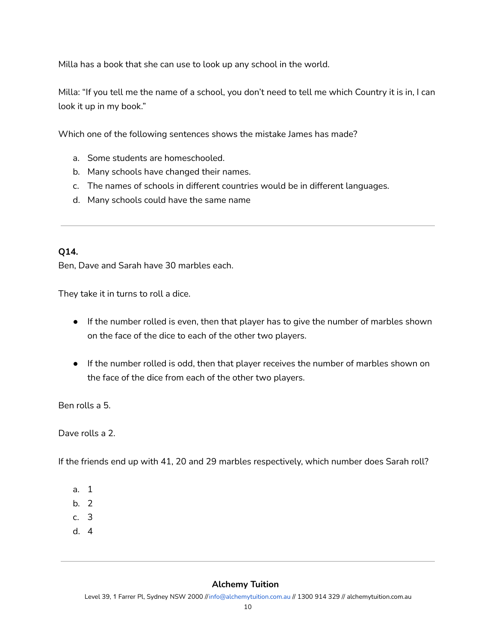Milla has a book that she can use to look up any school in the world.

Milla: "If you tell me the name of a school, you don't need to tell me which Country it is in, I can look it up in my book."

Which one of the following sentences shows the mistake James has made?

- a. Some students are homeschooled.
- b. Many schools have changed their names.
- c. The names of schools in different countries would be in different languages.
- d. Many schools could have the same name

#### **Q14.**

Ben, Dave and Sarah have 30 marbles each.

They take it in turns to roll a dice.

- If the number rolled is even, then that player has to give the number of marbles shown on the face of the dice to each of the other two players.
- If the number rolled is odd, then that player receives the number of marbles shown on the face of the dice from each of the other two players.

Ben rolls a 5.

Dave rolls a 2.

If the friends end up with 41, 20 and 29 marbles respectively, which number does Sarah roll?

- a. 1
- b. 2
- c. 3
- d. 4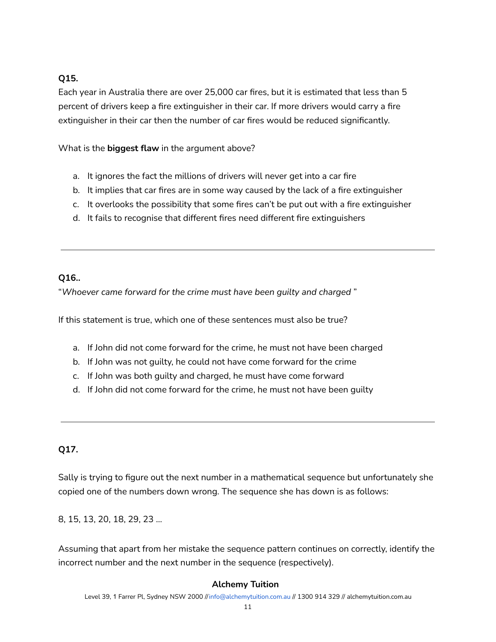## **Q15.**

Each year in Australia there are over 25,000 car fires, but it is estimated that less than 5 percent of drivers keep a fire extinguisher in their car. If more drivers would carry a fire extinguisher in their car then the number of car fires would be reduced significantly.

What is the **biggest flaw** in the argument above?

- a. It ignores the fact the millions of drivers will never get into a car fire
- b. It implies that car fires are in some way caused by the lack of a fire extinguisher
- c. It overlooks the possibility that some fires can't be put out with a fire extinguisher
- d. It fails to recognise that different fires need different fire extinguishers

#### **Q16..**

"*Whoever came forward for the crime must have been guilty and charged* "

If this statement is true, which one of these sentences must also be true?

- a. If John did not come forward for the crime, he must not have been charged
- b. If John was not guilty, he could not have come forward for the crime
- c. If John was both guilty and charged, he must have come forward
- d. If John did not come forward for the crime, he must not have been guilty

#### **Q17.**

Sally is trying to figure out the next number in a mathematical sequence but unfortunately she copied one of the numbers down wrong. The sequence she has down is as follows:

8, 15, 13, 20, 18, 29, 23 ...

Assuming that apart from her mistake the sequence pattern continues on correctly, identify the incorrect number and the next number in the sequence (respectively).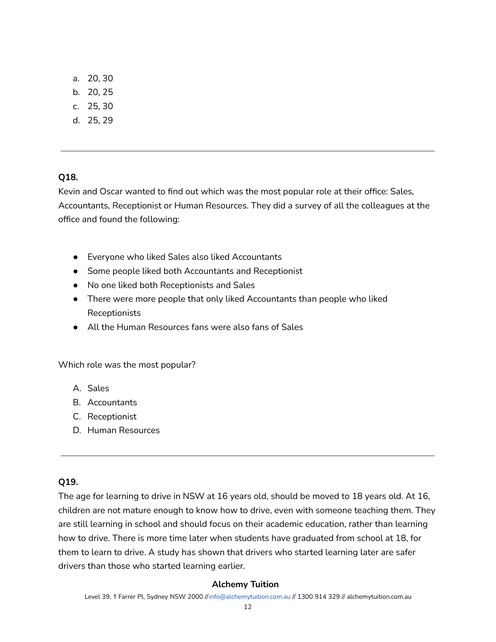- a. 20, 30
- b. 20, 25
- c. 25, 30
- d. 25, 29

#### **Q18.**

Kevin and Oscar wanted to find out which was the most popular role at their office: Sales, Accountants, Receptionist or Human Resources. They did a survey of all the colleagues at the office and found the following:

- Everyone who liked Sales also liked Accountants
- Some people liked both Accountants and Receptionist
- No one liked both Receptionists and Sales
- There were more people that only liked Accountants than people who liked Receptionists
- All the Human Resources fans were also fans of Sales

Which role was the most popular?

- A. Sales
- B. Accountants
- C. Receptionist
- D. Human Resources

#### **Q19.**

The age for learning to drive in NSW at 16 years old, should be moved to 18 years old. At 16, children are not mature enough to know how to drive, even with someone teaching them. They are still learning in school and should focus on their academic education, rather than learning how to drive. There is more time later when students have graduated from school at 18, for them to learn to drive. A study has shown that drivers who started learning later are safer drivers than those who started learning earlier.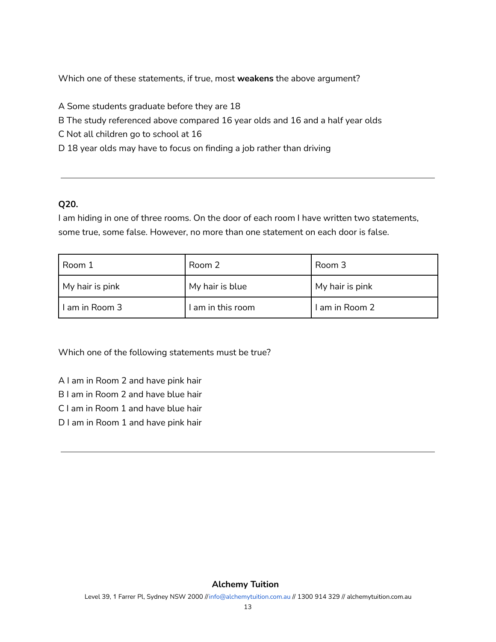Which one of these statements, if true, most **weakens** the above argument?

- A Some students graduate before they are 18
- B The study referenced above compared 16 year olds and 16 and a half year olds
- C Not all children go to school at 16
- D 18 year olds may have to focus on finding a job rather than driving

#### **Q20.**

I am hiding in one of three rooms. On the door of each room I have written two statements, some true, some false. However, no more than one statement on each door is false.

| Room 1           | Room 2            | Room 3          |
|------------------|-------------------|-----------------|
| My hair is pink  | My hair is blue   | My hair is pink |
| l I am in Room 3 | I am in this room | I am in Room 2  |

Which one of the following statements must be true?

- A I am in Room 2 and have pink hair
- B I am in Room 2 and have blue hair
- C I am in Room 1 and have blue hair
- D I am in Room 1 and have pink hair